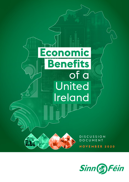

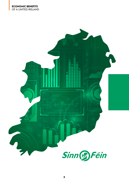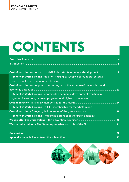# **CONTENTS**

| Cost of partition - a democratic deficit that stunts economic development 8                |  |
|--------------------------------------------------------------------------------------------|--|
| <b>Benefit of United Ireland</b> - decision making by locally elected representatives      |  |
| and bespoke macroeconomic planning                                                         |  |
| <b>Cost of partition</b> - a peripheral border region at the expense of the whole island's |  |
|                                                                                            |  |
| <b>Benefit of United Ireland</b> - coordinated economic development resulting in           |  |
| greater investment, more employment and higher tax revenues                                |  |
|                                                                                            |  |
| <b>Benefit of United Ireland</b> - full EU membership for the whole island                 |  |
|                                                                                            |  |
| <b>Benefit of United Ireland</b> – maximise potential of the green economy                 |  |
|                                                                                            |  |
|                                                                                            |  |
|                                                                                            |  |

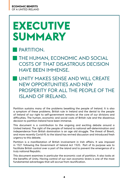# **EXECUTIVE SUMMARY**

### PARTITION.

- THE HUMAN, ECONOMIC AND SOCIAL COSTS OF THAT DISASTROUS DECISION HAVE BEEN IMMENSE.
- UNITY MAKES SENSE AND WILL CREATE NEW OPPORTUNITIES AND NEW PROSPERITY FOR ALL THE PEOPLE OF THE ISLAND OF IRELAND.

Partition sustains many of the problems besetting the people of Ireland. It is also a symptom of these problems. British rule in Ireland and the denial to the people of Ireland of our right to self-government remains at the core of our divisions and difficulties. The human, economic and social costs of British rule and the disastrous decision to partition Ireland have been immense.

This document is a contribution to the ongoing and exciting debate around a United Ireland. The right of the people of Ireland to national self-determination and independence from British domination is an age old struggle. The threat of Brexit, and more recently Covid-19, to the island has revived discussion and introduced fresh urgency to this debate.

Partition is a manifestation of British involvement in Irish affairs. It was imposed in 1921 following the Government of Ireland Act 1920. Part of its purpose was to facilitate British control over a part of the island and to prevent the emergence of a truly national Republic.

This document examines in particular the economic cost of partition. It also looks at the benefits of Unity. Having control of our own economic levers is one of the most fundamental advantages that will accrue from reunification.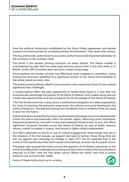Even the political institutions established by the Good Friday Agreement are denied access to economic power by successive London Governments. They retain that control.

This has profoundly undermined its economic performance and impacted adversely on the economy of the southern state.

The North is the slowest growing economy on these islands. The labour market is characterised by jobs that are lower-paid and less secure than in the Irish state or in Britain. Some 20% of workers earn less than a basic living wage.

Since partition the border corridor has effectively been resigned to 'periphery' status limiting the economic potential of a significant section of our island and therefore of the whole island economy also.

The threat posed by Brexit, allied to the economic crisis created by Covid-19, has created significant new challenges.

A United Ireland offers the best opportunity to tackle these issues in a way that can economically advantage the people of the island of Ireland. Unity makes sense and will create new opportunities and new prosperity for all the people of the island of Ireland.

 The Irish Government has a duty and a constitutional obligation to make preparations for Unity; to examine the economic arguments; the cultural and social dimensions; the political dynamics. The debacle arising from the Brexit chaos is evidence that you need to plan for the future.

Irish reunification would allow for more coordinated and strategic economic development across the island and especially within the border region, attracting more investment, improved productivity, and with it enhanced essential infrastructure. In turn, this offers significant economic benefits across the island of Ireland, by way of public revenue returns, overall increases in output, and boosts in higher-skilled employment.

Sinn Féin's approach to the EU is one of critical engagement: those things that are in the interests of the Irish people, we support and seek to further; those things that are not, we oppose and campaign to change. In April 2017 the EU asserted that in the event of Irish reunification the North would automatically re-enter the European Union.

This paper also exposes the myths around the question of the British subvention to the North and effectively challenges the existing narrative which claims that the subvention amounts to £10bn, that the Irish State cannot afford the North, and that a United Ireland is not economically viable.

None of these myths stand up to scrutiny.

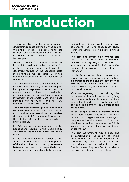# **Introduction**

This document is a contribution to the ongoing and exciting debate around a United Ireland. While this is an age-old debate the threats of Brexit and more recently Covid-19 to the island has revived discussion and introduced fresh urgency.

As we approach 100 years of partition we know all too well that the human and social costs have been enormous and tragic. This document focuses on the economic costs including the democratic deficit. Brexit too has huge implications for the economy of this island.

This document points to the benefits of a United Ireland including decision making by locally elected representatives and bespoke macroeconomic economic development resulting in greater investment, more employment and higher potential tax revenues - and full membership for the whole island.

The document examines public finance and expenditure statistics demonstrating that we can afford to Unite Ireland. And it considers the precedent of German re-unification and the role the EU can play in successfully reuniting Ireland.

In 1998, one of the achievements in the negotiations leading to the Good Friday Agreement was securing a referendum on unity.

In the Constitutional Issues section of the Agreement, it states that " ...it is for the people of the island of Ireland alone, by agreement between the two parts respectively and without external impediment, to exercise

their right of self-determination on the basis of consent, freely and concurrently given, North and South, to bring about a united Ireland ..."

The Irish and British governments also accept that the result of the referendum "will be a binding obligation" on them "to introduce and support in their respective parliaments legislation to give effect to that wish."

But the future is not about a single stepchange in which we go to bed one night in a partitioned Ireland and the next morning wake up in a united Ireland. It's all about process: discussion, reconciliation, transition and transformation.

It's about agreeing how we will organise and share our future. It's about recognising that Ireland is home to many traditions and cultural and ethnic backgrounds. In particular it is home to the unionist people of the North.

All our people deserve a modern Ireland based upon equality and respect; in which the civil and religious liberties of everyone are protected; and, where all traditions and identities, including those who are British, Irish, or from other places are protected under the law.

The Irish Government has a duty and a constitutional obligation to make preparations for Unity; to examine the economic arguments; the cultural and social dimensions; the political dynamics. The debacle arising from Brexit is evidence that you need to plan for the future.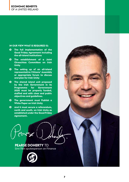#### **IN OUR VIEW WHAT IS REQUIRED IS:**

- **The full implementation of the Good Friday Agreement including the all-island institutions**
- **The establishment of a Joint Oireachtas Committee on Irish Unity**
- **The setting up of an all-island representative Citizens' Assembly or appropriate forum to discuss and plan for Irish Unity**
- **The shared island unit proposed by the Irish Government in its Programme** 2020 **must be properly funded, staffed and with clear and public objectives and guidelines.**
- **The government must Publish a White Paper on Irish Unity**
- **And it must secure a referendum, north and south, on Irish Unity as established under the Good Friday Agreement.**

**PEARSE DOHERTY** TD Sinn Féin spokesperson on Finance

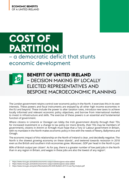# **COST OF PARTITION** – a democratic deficit that stunts economic development



### **BENEFIT OF UNITED IRELAND** – DECISION MAKING BY LOCALLY ELECTED REPRESENTATIVES AND BESPOKE MACROECONOMIC PLANNING

The London government retains control over economic policy in the North. It exercises this in its own interests. These powers and fiscal instruments are enjoyed by all other high income economies in the EU and beyond. These include the power to alter taxation rates, introduce new taxes to achieve locally informed and relevant economic policy objectives, and borrow from international markets to invest in infrastructure and skills. The exercise of these powers is an essential and fundamental function of government.

Where citizens in Limerick or Donegal can lobby the Irish government directly through their TDs for increased investment or a change to tax policy (or more directly, their TDs may be members of government), citizens in Antrim or Armagh must hope that a Tory or Labour government in Britain, with no mandate in the North makes economic policy in line with the needs of Newry, Ballymena and Omagh.

The economic impact of this relationship on the North of Ireland is clear, and decidedly negative. The North is the slowest growing economy on these islands<sup>1</sup>, and teetered towards recession in 2018 even as the British and southern Irish economies grew. Moreover, GDP per head in the North is just

80% of British output per citizen<sup>2</sup>. As for pay, there is a greater number of low paid jobs in the North than in any region in Britain, and wages in these jobs are also the lowest of any region<sup>3</sup>.

<sup>1</sup>  https://www.nisra.gov.uk/statistics/economic-output-statistics/gross-value-added

<sup>2</sup>  https://www.nisra.gov.uk/statistics/economic-output-statistics/gross-value-added

<sup>3</sup>  https://www.nisra.gov.uk/system/files/statistics/NI-ASHE-Bulletin-2019-3-Low-Pay-Analysis.pdf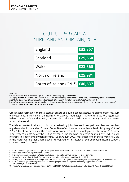### OUTPUT PER CAPITA IN IRELAND AND BRITAIN, 2018

| England                 | £32,857 |
|-------------------------|---------|
| Scotland                | £29,660 |
| Wales                   | £23,866 |
| North of Ireland        | £25,981 |
| South of Ireland (GNI*) | €40,637 |

#### **Sources:**

https://www.cso.ie/en/releasesandpublications/in/nie/in-mgnicp/ **- 2018 GNI\***

**2018 population in Ireland -** https://www.-cso.ie/en/releasesandpublications/er/pme/populationandmigrationestimatesapril2018/#:~:text=The%20combined%20effect%20of%20natural,4.86%20million%20in%20April%202018. https://www.ons.gov.uk/economy/grossdomesticproductgdp/bulletins/regionaleconomicactivitybygrossdomesticproductuk/ 1998to2018 **- 2018 GDP per capita Britain & North**

Gross capital formation (the total stock of private and public capital assets, and an important measure of investment), is very low in the North. As of 2016 it stood at just 14.3% of total GDP4, a figure well behind the rest of Ireland, Britain, comparable small developed states, and many developing states around the world<sup>5</sup>.

The labour market in the North is characterised by jobs that are lower-paid and less secure than anywhere else in Ireland or Britain<sup>6</sup>. Some 20% of workers earn less than a basic living wage<sup>7</sup>. As of 2016, 14% of households in the North were workless<sup>8</sup> and the employment rate sat at 72%, some 4 percentage points below the British average<sup>9</sup>. The looming jobs crisis sparked by COVID-19 will intensify this poor employment picture. As of August 2020, more than one in three workers (36%) in the North were either unemployed, furloughed, or in receipt of self-employed income support scheme (UUEPC, 2020a<sup>10</sup>).

<sup>4</sup>  https://www.nisra.gov.uk/sites/nisra.gov.uk/files/publications/NI-Economic-Accounts-Project-2016-experimental-results.pdf

<sup>5</sup>  https://data.worldbank.org/indicator/NE.GDI.FTOT.ZS

<sup>6</sup>  https://www.nisra.gov.uk/statistics/labour-market-and-social-welfare/annual-survey-hours-and-earnings

<sup>7</sup>  Decent Work in Northern Ireland: The challenge of insecurity and low pay, Lisa Wilson (NERI), 2017

<sup>8</sup>  Poverty in Northern Ireland, 2018, Joseph Rowntree Foundation Briefing - https://www.jrf.org.uk/report/poverty-northern-ireland-2018

<sup>9</sup>  https://www.ons.gov.uk/employmentandlabourmarket/peopleinwork/employmentandemployeetypes/timeseries/lf5z/lms - ONS Employment Rate Statistics

<sup>10</sup> https://www.ulster.ac.uk/\_\_data/assets/pdf\_file/0017/614132/UUEPC-Pathways-to-Recovery-after-Covid19-Paper-3-\_05082020.pdf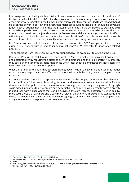It is recognised that having decisions taken in Westminster has been to the economic detriment of the North. In the late 2000s, both Scotland and Wales undertook wide-ranging reviews of their lack of economic powers. In Scotland, the Calman Commission explicitly recommended that Scotland should be given the power to borrow-and-invest, that major taxes such as income tax should be devolved (under special arrangement), and that the Scottish Parliament should be allowed to create its own taxes to be applied to Scotland only. The Holtham Commission in Wales produced similar conclusions. It found that "restricting the [Welsh] Assembly Government's ability to manage its economic affairs ultimately undermines its direct accountability to Welsh citizens"<sup>11</sup>, and also advocated for Welsh representatives to be granted significantly more ambitious borrowing and taxation powers.

No Commission was held in respect of the North. However, the OECD categorised the North as essentially 'peripheral with respect to its political influence' on Westminster for innovation-related policies12.

The conclusions from these Commissions are supported by the academic literature on the issue.

Rodriquez-Pose & Gill (2005) found that more localised "decision-making can increase transparency and accountability by reducing the distance between politicians and their electorates"<sup>13</sup>. Moreover, they see a clear 'economic dividend' that arises when local political administrations have access to levers to tailor their own economic policies.

What these findings tell us is that decision making powers within a new all-island economic model would be more responsive, more effective, and more in line with the policy needs of people and the economy.

In a united Ireland the political representatives elected by the people, upon whom their decisions impact, will have full access to borrowing, taxation, and investment powers. It would allow for the development of bespoke localised macroeconomic strategy that could target the growth of key high value-added industries to deliver more and better jobs. Economists have pointed towards a growth in good jobs with higher wages that can be delivered through Irish reunification.14 Better quality, more secure jobs that pay more and create more value in the economy improve living standards and create more demand in the economy, and where aggregate demand rises, so too does employment as a general rule and the potential tax revenues raised.

13 p409

<sup>11</sup> Westminster Library & Research Service Note, SN/EP/6288

<sup>12</sup> https://www.oecd.org/cfe/regional-policy/The\_case\_of\_Ireland-Northern-Ireland.pdf - page 22

<sup>14</sup> Paul Gosling, Ten Year Plan for A New Ireland, 2018, p59-63 - http://www.paulgosling.net/wp-content/uploads/2018/10/ THE-TEN-YEAR-PLAN-FOR-A-NEW-IRELAND-v10.pdf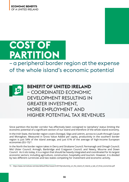# **COST OF PARTITION**

– a peripheral border region at the expense of the whole island's economic potential



### **BENEFIT OF UNITED IRELAND**

– COORDINATED ECONOMIC DEVELOPMENT RESULTING IN GREATER INVESTMENT, MORE EMPLOYMENT AND HIGHER POTENTIAL TAX REVENUES

Since partition the border corridor has effectively been consigned to 'periphery' status limiting the economic potential of a significant section of our island and therefore of the whole island economy.

In the Irish State, the border region covers Donegal, Sligo and Leitrim, across to Louth through Cavan and Monaghan. Measured in Gross Value Added per capita, productivity in the southern border region is just 54% of the island average, and just 61% of the average of high-income European economies (EU-15)<sup>15</sup>.

In the North the border region takes in Derry and Strabane Council; Fermanagh and Omagh Council; Mid Ulster Council; Armagh, Banbridge and Craigavon Council; and Newry, Mourne and Down Council. As it sits today, it is a region that should be heavily integrated and coordinated for its largest economic sectors; including agriculture, construction, hospitality and tourism. However, it is divided by two different currencies and two states competing for investment and economic activity.

<sup>15</sup> https://www.nerinstitute.net/sites/default/files/research/2019/productivity on the island of ireland a tale of three economies.pdf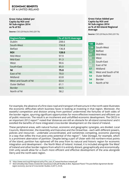**Gross Value Added per Capita by ROI and NI Sub-region 2014 as % of EU**

**Source:** CSO (2018a) & ONS (2017b)

| <b>Region/State</b>  | % of EU15 Average |
|----------------------|-------------------|
| Dublin               | 208.6             |
| South-West           | 156.8             |
| <b>Belfast</b>       | 136.8             |
| <b>ROI</b>           | 128.0             |
| Mid-West             | 97.9              |
| Mid-East             | 91.3              |
| West                 | 90.6              |
| South-East           | 85.0              |
| ΝI                   | 75.0              |
| East of NI           | 70.0              |
| Midland              | 63.8              |
| West and South of NI | 63.4              |
| <b>Outer Belfast</b> | 61.1              |
| <b>Border</b>        | 60.5              |
| North of NI          | 58.2              |

#### **Gross Value Added per Capita by ROI and NI Sub-region 2014 as % of All-Island Regional Average**

**Source:** CSO (2018a) & ONS (2017b)

| 185 | Dublin               |
|-----|----------------------|
| 139 | South-West           |
| 121 | <b>Belfast</b>       |
| 87  | Mid-West             |
| 80  | West                 |
| 75  | South-East           |
| 62  | East of NI           |
| 57  | Midland              |
| 56  | West and South of NI |
| 54  | Outer Belfast        |
| 54  | Border               |
| 54  | North of NI          |
|     |                      |

For example, the absence of a first class road and transport infrastructure in the north-west illustrates the economic difficulties which business faces in looking at investing in that region. Moreover, the wasteful competition and division arising from partition undermines the fortunes of both sides of the border region, spurning significant opportunities for more effective investment and efficient use of public resources. The result is an incoherent and unfulfilled economic development. The OECD in an important 2012 report<sup>16</sup> noted that 'distances are still an obstacle for all-island connections' and it extolled the benefits of more integrated cross-border development on the island of Ireland.

These peripheral areas, with natural human, economic and geographic synergies, are divided. Local Councils, Westminster, the Assembly and Executive and the Oireachtas - each with different powers, policies and resources - undertake uncoordinated, and sometimes competing, economic planning in a way that stifles the true post-unity potential of the region<sup>17</sup>. Take Donegal, for example, which is a prominent aberration of partition. Despite being a part of Ulster with the northern-most points of the island, partition has siphoned off the area from its natural and historic region for economic integration and development – the North West of Ireland. Instead, it is included alongside 'the West' of Ireland and other border regions from which it is entirely distant, geographically and economically. Irish unity would allow for a much more efficient and effective development of the area alongside Derry and the north-west region.

<sup>16</sup> https://www.oecd.org/cfe/regional-policy/The\_case\_of\_Ireland-Northern-Ireland.pdf

<sup>17</sup> Best & Bradley,http://www.crossborder.ie/pubs/journal6.pdf Bradley & Best, 'Bypassed Places? The post-Belfast Agreement Border region economy', Journal of Cross-border Studies, 6 (2011), 25-45.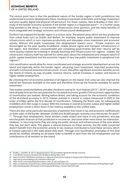The central point here is that the peripheral nature of the border region in both jurisdictions has undermined economic development there, resulting in low levels of domestic and foreign investment and poor-quality digital and physical infrastructure. For these reasons, Best & Bradley in their 2011 study of the border economy question if the border region is a 'bypassed place'<sup>18</sup>. In a further study they pointed to the decay in cross-border infrastructure since partition, and the many benefits of more integrated and strategic economic and infrastructural development<sup>19</sup>.

Partition has trapped the border region in a vicious cycle. Peripheral areas which are less productive than urban hubs such as Dublin and Belfast, for example, require public investment to improve infrastructure, which in turn improves productivity and stimulates more investment and economic activity. Without this public investment, this development doesn't occur. Private investors are discouraged by the poor quality broadband, mobile phone signal and transport infrastructure in the region. And therefore, uncoordinated and competing governments feel their returns will be more quickly realised by investing in already booming and infrastructure-rich regions. Indeed, the construction industry itself has warned for some years about the imbalanced and unequal nature of public capital investment and the economic impact of very low public investment in peripheral Irish regions<sup>20</sup>.

Irish reunification would allow for more coordinated and strategic economic development across the island and especially within the border region, attracting more investment, improved productivity, and with it enhanced essential infrastructure. In turn, this offers significant economic benefits across the island of Ireland, by way of public revenue returns, overall increases in output, and boosts in higher-skilled employment.

By unlocking the full economic potential of all regions on the island, Irish unity can also improve the overall tax revenues available to the state and therefore shore-up the finances available for public investment.

Two studies conducted before and after the Brexit vote by Dr. Kurt Hubner (2015<sup>21</sup>; 2018<sup>22</sup>) and others have already forecast the vast potential for increased economic growth if the economic opportunities of reunification are realised. Writing before Brexit, and taking account for the economic conditions of the all-Ireland economy in 2015, Hubner pointed to a boost in output (measured in GDP) in the order of €36bn within the first decade of reunification. Following the Brexit vote, he subsequently modelled a €23.5bn surge in output. With this increase in overall economic output and higher-skilled employment comes a direct boon in tax revenue available to the unified state.

There are also some particular peculiarities of partition that result in tax and economic inefficiencies on both sides of the border. Between 23,000 and 30,000 people routinely cross the border for work<sup>23</sup> <sup>24</sup>. Through their employment, these workers create output and value in one jurisdiction, and pay into the public finances of that jurisdiction in income tax, and some other more minor tax interaction. However, in returning home they are using the public services and infrastructure of the area where they live, but don't work. This places a natural pressure on these services, but the state concerned doesn't benefit from the economic activity or tax revenue contributed to fund these services, which is instead captured in the state where they work. Through Irish reunification anomalies of this kind would be rectified, allowing an all-island state to benefit in kind from the full employment and tax contributions of all workers on the island.

23 https://crossborder.ie/site2015/wp-content/uploads/2016/06/CCBS-and-Cooperation-Ireland-EU-Referendum-Briefing-Paper-4.pdf

<sup>18</sup> Bradley, J. and Best, M. (2011), Bypassed places? The post-Belfast Agreement Border Economy

<sup>19</sup> Cross Border Economic Renewal, John Bradley & Michael Best, 2012

<sup>20</sup> https://cif.ie/2017/04/03/low-investment-in-regional-infrastructure-leading-to-dangerously-imbalanced-economy/

<sup>21</sup> https://prcg.com/modeling-irish-unification/report.pdf

<sup>22</sup> https://issuu.com/mattcarthy5/docs/report\_costs\_of\_non-unification\_fin

<sup>24</sup> https://borderpeople.info/site/wp-content/uploads/Briefing-5-revision15June2016.pdf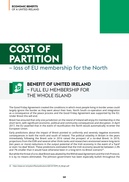# **COST OF PARTITION** – loss of EU membership for the North



The Good Friday Agreement created the conditions in which most people living in border areas could largely ignore the border as they went about their lives. North South co-operation and integration as a consequence of the peace process and the Good Friday Agreement was supported by the EU. Under Brexit this will end.

Brexit has ensured that only one jurisdiction on the island of Ireland will enjoy EU membership in the short term, with significant economic, political and community consequences and disruption. In April 2017, the EU asserted that in the event of reunification the North would automatically re-enter the European Union.

Early predictions about the impact of Brexit pointed to uniformly and severely negative economic consequences in both the north and south of Ireland. The political volatility in Britain in the years immediately following the Brexit vote in 2016 raised the prospect of a no-deal Brexit. In 2019, projections from the ESRI and several other think-tanks and researchers envisioned severe long-term (ten years or more) reductions in the output potential of the Irish economy in the event of a 'hard' or even 'no-deal' Brexit. These predictions estimated that the Irish economy would be between 2.3% and 7% smaller than it would have otherwise been in a long-term no-Brexit scenario<sup>25</sup>.

But while the threat of a no-deal Brexit was abated by the Withdrawal Agreement and the Irish Protocol, it is by no means eliminated. The Johnson government has been especially bullish throughout the

<sup>25</sup> https://www.esri.ie/system/files/publications/QEC2019SPR\_SA\_Bergin.pdf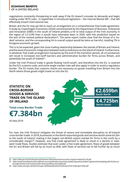negotiations constantly threatening to walk away if the EU doesn't concede its demands and begin trading under WTO rules. In September it introduced legislation – the Internal Market Bill – that will effectively breach international law.

Britain and the EU may yet fail to reach an arrangement on a comprehensive free-trade agreement. A study by Copenhagen Economics (2020) commissioned by the Department of Business, Enterprise and Innovation (DBEI) in the south of Ireland predicts a hit to total output of the Irish economy in the region of 3.2-3.9% than it would have otherwise been in 2030, with this prediction based on the text of the revised political declaration<sup>26</sup>. The same report makes clear that the threat of a 'nodeal' remains, and the corresponding hit to overall output would be twice as harmful, totalling 7% in foregone economic growth.

This is to be expected, given the close trading relationship between the islands of Britain and Ireland, and the level of economic integration between both jurisdictions on the island of Ireland. Furthermore, in whatever free trade arrangement transpires by the end of the transition period, all circumstances will result in increased non-tariff barriers and administrative burden for firms across Britain, and potentially the south of Ireland<sup>27</sup>.

Under the Irish Protocol trade in goods flowing 'north-south', and therefore into the EU, is covered by the EU's customs code, and some single market rules will also apply in order to avoid a regulatory border. The EU insists that customs checks are necessary on goods travelling from Britain into the North where those goods might travel on into the EU.

### **€4.725bn North-South €2.659bn South-North STATISTIC ON CROSS-BORDER GOODS & SERVICES TRADE ON THE ISLAND OF IRELAND Total cross Border Trade €7.384bn** All data 2018

For now, the Irish Protocol mitigates the threat of severe and immediate disruption to all-Ireland cross-border trade. In 2018, businesses in the North exported goods and services worth some £4.2bn to the south of Ireland, making it the largest non-British export market for firms in the north by a considerable margin<sup>28</sup>. However, any free trade agreement is likely to result in a decline in 'eastwest' trade flows. Studies estimate that even under a free trade agreement, flows of goods between the EU and Britain will fall by as much as 40%, with flows of services set to fall further by as much

<sup>26</sup> https://dbei.gov.ie/en/Publications/Publication-files/Assessment-economic-impacts-Ireland-EU-UK.pdf

<sup>27</sup> https://www.centralbank.ie/docs/default-source/publications/quarterly-bulletins/quarterly-bulletin-signed-articles/dealing-with-friction-euuk-trade-and-the-irish-economy-after-brexit-(conefrey-and-walsh).pdf

<sup>28</sup> https://www.nisra.gov.uk/sites/nisra.gov.uk/files/publications/Overview-of-NI-Trade-April-2020.pdf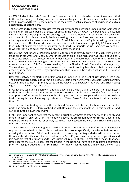as 60%<sup>29</sup>. Indeed, the Irish Protocol doesn't take account of cross-border trades of services critical to the Irish economy, including financial services involving entities from commercial banks to local Credit Unions, and there is uncertainty around the professional qualifications of occupations such as accountancy or architecture.

The customs and regulatory processes that could be introduced between a united Ireland EU member state and Britain could pose challenges for SMEs in the North. However, the benefits of unification including full membership of the EU outweigh this. The Southern state has two official languages – Irish and English. Being the only English speaking state in the Eurozone has been an economic advantage for the Southern state. As a result of Brexit it is now the only English speaking state in the European Union. This factor will be an incentive for private investment, especially US investment<sup>30</sup>. Irish Unity will enable the North to similarly benefit. Sinn Féin supports the Irish language. We continue to work for language equality in the North and across the island.

Despite the implications of Partition, north south trading is already growing. In 2018 cross border trade amongst Small and Medium Enterprises was at an all-time high and was valued at  $E6.5$ bn<sup>31</sup>. Figures also show that a greater number of businesses in the north now trade from north to south than to anywhere else including Britain. NISRA figures show that 8,631 businesses trade from north to south compared to 8,147 businesses trading from the North to Britain.<sup>32</sup> And this is the trajectory. The continued growth and increased value in north south trading has shown that the All-Ireland economy is becoming increasingly important and that this could be further utilised in the event of reunification.

How trade between the North and Britain would be impacted in the event of Irish Unity is less clear. The argument is regularly made by Unionists that Britain is the north's "most valuable trading partner", however that argument is primarily based on the value of trade between the North and Britain being higher than trade to anywhere else.

In reality, this assertion is open to critique as it overlooks the fact that in the north more businesses trade from north to south than from the north to Britain, it also overlooks the fact that at least a proportion of trades to Britain are reliant firstly on north south supply chains and intermediary trades during the manufacturing of goods. Around 39% of Cross Border trade is trade in Intermediate Goods.<sup>33</sup>

The assertion that trading between the north and Britain would be negatively impacted or that the north has more to lose in terms of trading with Britain in the context of Irish Unity is debatable and can be rebutted in numerous ways.

Firstly, it is important to note that the biggest disruption or threat to trade between the north and Britain is not Irish Unity but Brexit. As mentioned above the promises made by the British Government that there will be "unfettered" or entirely seamless trade between the North and Britain in the event of Brexit are inaccurate.

The Irish Protocol means that goods travelling from Britain into the island of Ireland will generally require the same checks in the north and in the south. The rules specifically state that only those goods entering the north from Britain which are 'at risk' of entering the Single Market will require checks. However, the identification of what constitutes an 'at risk' good is currently part of negotiations and it is possible that all or many goods from Britain will require checks. In reality this means that once Britain leaves the EU, it is likely that the traders in the North will have to sign customs declarations prior to trading products to and from Britain, for many small traders it is likely that they will look

<sup>29</sup> Hantzsche, A. and G. Young. 2019. "The Economic Impact of Prime Minister Johnson's New Brexit Deal." National Institute Economic Review, No. 250.

<sup>30</sup> Regan &Brazys, Leprechaun Economics

<sup>31</sup> https://intertradeireland.com/news/cross-border-trade-hits-new-high

<sup>32</sup> https://www.nisra.gov.uk/sites/nisra.gov.uk/files/publications/Overview-of-NI-Trade-April-2020.pdf

<sup>33</sup> Cross Border trade is in Intermediate Goods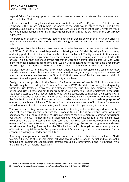beyond Britain for trading opportunities rather than incur customs costs and barriers associated with the British Market.

In the context of Irish Unity the checks on what are to be termed 'at risk' goods from Britain that are enshrined in the Protocol will remain unchanged, as the north would return to the EU and be still bound by single market rules on goods travelling from Britain. In the event of Irish Unity there would be no additional burdens in terms of these trades from Britain as the EU Rules on this are already applicable.

The perception that Irish Unity would lead to a decline in trading between the North and Britain is also debatable given that the North is already trading less with Britain despite being under British Rule.

NISRA figures from 2018 have shown that external sales between the North and Britain declined by 9.3% in 201834. This occurred despite the north being under British Rule, using a British currency and being part of what Unionists term as the UK Internal Market. The figures indicate that even in advance of tariffs being implemented northern businesses are becoming less reliant on trade with Britain. This is further evidenced by the fact that in 2018 the North's total exports (£11.2bn) were higher than its external trades to Britain (£10.6 bln), this meant that for the first time since survey records began in 2011, the north exported more goods to other countries than to Britain.<sup>35</sup>

It is also important to note that with Brexit negotiations ongoing the projected increase or decrease in trade between the North and Britain under a United Ireland, is largely susceptible to the terms of a future trade agreement between the EU and UK. Until the terms of this become clear it is difficult to assess the full impact on trade that Irish Unity would have.

Finally, there is no provision in the Protocol for free movement of people. Whilst it is stated that this will likely be covered by the Common Travel Area (CTA), this claim has no legal underpinning within the Irish Protocol. In any case, it is almost certain that such free movement will only cover British and Irish citizens and not those from other EU states. As a result, employers in the north could lose access to the EU labour market, which will be particularly damaging in the hospitality and agri-foods sectors, as well as the health service which could be left unduly exposed in the wake of the COVID-19 pandemic. It will also restrict cross-border movement for EU nationals for purposes of education, health, and childcare. This restriction on the all-Ireland travel of EU citizens for essential skills development and economic activity could create difficulties, particularly in border areas.

The North is also likely to lose access to amounts of funding and essential expenditure that had been relied on through transfers from the European Union if this is not compensated for in any negotiations. Initial indications point to British attempts to replace elements of Common Agricultural Policy (CAP) funding. Whether this materialises remains to be seen. It applies also to funding directed towards factors that are essential for long-term and 'high-road' economic development, including essential infrastructure, Research & Development (R&D) (through the Horizon programme), and green transformation funding. Re-entry into the EU will allow the North to gain access to vast quantities of investment capital, from the European Investment Bank among other sources, essential for the economic challenges of today and the future.

Reversing the negative effects of Brexit is an economic necessity. Irish unity would allow the North to enjoy full benefits of EU membership including access to the European market and to substantial funding and investment opportunities offered through EU programmes and institutions, while enabling further all-Ireland integration.

<sup>34</sup> https://www.nisra.gov.uk/sites/nisra.gov.uk/files/publications/Overview-of-NI-Trade-April-2020.pdf

<sup>35</sup> https://www.nisra.gov.uk/sites/nisra.gov.uk/files/publications/Overview-of-NI-Trade-April-2020.pdf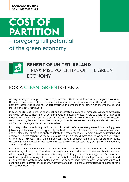



### **BENEFIT OF UNITED IRELAND** – MAXIMISE POTENTIAL OF THE GREEN ECONOMY.

## FOR A CLEAN, GREEN IRELAND.

Among the largest untapped avenues for growth potential in the Irish economy is the green economy. Despite having some of the most abundant renewable energy resources in the world, the green economy across the island has underperformed in comparison to other high-income states, and states in the developing world.

In economic terms the challenge of meeting our climate obligations is immense, even for a sovereign state with access to international bond markets, and access to fiscal levers to deploy this finance in innovative and effective ways. For a small state like the North, with significant economic weaknesses compounded by decades of economic isolation, and denied access to a meaningful scale of investment capital, the challenge may be insurmountable.

Irish unity is the route through which economic benefits of the necessary transition including green jobs and greater security of energy supply can best be realised. The benefits from economies of scale and all-island spatial planning apply equally to the green economy. To meet climate obligations and achieve a net-zero carbon society by 2050, as is required by the climate science, we need a vast array of, and rapid increase in, high-skilled green collar jobs, in construction, public transport, retrofitting, research & development of new technologies, environmental resilience, and policy development, among other things.

Partition means that the benefits of a transition to a zero-carbon economy will be dampened significantly, as both parts of the island compete against each other for private renewables investment while operating two incoherent and potentially conflicting green economic agendas. Furthermore, continued partition during this crucial opportunity for sustainable development across the island means that the wasteful and inefficient folly of back to back development of infrastructure will continue, particularly for the modern, innovative and likely expensive infrastructure required for the zero-carbon transition.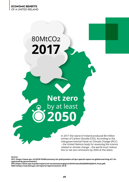# 80MtCO2 **2017**

 $\bigcap$ 

# **Net zero** by at least **2050**

In 2017 the island of Ireland produced 80 million tonnes of Carbon Dioxide (C02). According to the Intergovernmental Panel on Climate Change (IPCC) – the United Nations body for assessing the science related to climate change – the world must reduce this to net zero emissions by 2050 at the latest.

**Source:** 

**IPCC (https://www.ipcc.ch/2018/10/08/summary-for-policymakers-of-ipcc-special-report-on-global-warming-of-1-5capproved-by-governments/)**

**EPA (https://www.epa.ie/pubs/reports/air/airemissions/ghg/nir2019/Ireland%20NIR%202019\_Final.pdf) NAEI (https://naei.beis.gov.uk/reports/reports?section\_id=4)**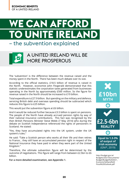# **WE CAN AFFORD TO UNITE IRELAND**

## – the subvention explained



### A UNITED IRELAND WILL BE MORE PROSPEROUS

The 'subvention' is the difference between the revenue raised and the money spent in the North. There has been much debate over its size.

According to the official statistics, £18.5 billion of revenue is raised in the North. However, economist John Fitzgerald demonstrated that this statistic underestimates the corporation taxes generated from businesses operating in the North by approximately £500 million. So the figure for revenue raised in the North should be increased to £19 billion.

Total expenditure is £27.9 billion. But spending on the military and defence, servicing British debt and overseas spending should be subtracted which reduces this figure to £25 billion.

This would put the subvention figure at £6 billion.

And it would be reduced further because £3.5 billion is spent on pensions. The people of the North have already accrued pension rights by way of their national insurance contributions. This fact was recognised by the then British Pensions Minister Steve Webb (7 May 2014) who during the debate on Scottish Independence referenced the rights of pensioners in Scotland. He stated:

"Yes, they have accumulated rights into the UK system, under the UK system's rules."

He said: "Take a Scottish person who works all their life and then retires to France... they still have an accumulated pension right in respect of the National Insurance they have paid in when they were part of the United Kingdom."

Therefore, the ultimate subvention figure will be determined by the outcome of negotiations. This figure will range from between £2.5bn to £6 billion.

**For a more detailed examination, see Appendix 1.**



http://budget.gov.ie/ Budgets/2021/Documents/ Budget/Budget%202021\_ Economic%20and%20 Fiscal%20Outlook.pdf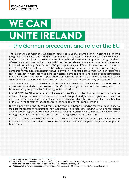# **WE CAN UNITE IRELAND**

## – the German precedent and role of the EU

The experience of German reunification serves as a useful example of how planned economic integration and investment, including from the EU, can substantially improve economic conditions in the smaller jurisdiction involved in transition. While the economic output and living standards of Germany's East have not kept pace with West German development, they have, by any measure, improved dramatically. East German GDP per capita was just 43% of the same Western measure in 1991. By 2008 it had risen to 71%<sup>36</sup>. When considered in a European comparison using the comparative measure of purchasing power parity (PPP in euros), East German GDP per capita rose faster than other more deprived European states, perhaps a fairer and more robust comparison than the industrial and economic powerhouse of then West Germany<sup>37</sup>. Much of this was assisted by considerable EU support including through structural funding totalling just shy of €18 billion<sup>38</sup>.

The role of the EU should be even more central in the case of Irish reunification. The Good Friday Agreement, around which the process of reunification is hinged, is an EU-endorsed treaty which has been materially supported by EU funding for two decades.

In April 2017 the EU asserted that in the event of reunification, the North would automatically reenter the European Union as a member. This simple but profoundly important guarantee means, in economic terms, the potential difficulty faced by Scotland which might have to negotiate membership of the EU in the context of independence, does not apply to the island of Ireland.

Direct support from the EU could come in the form of a bespoke funding mechanism designed to stabilise the process of reunification, however gradual this process may be. PEACE funding represents an already existing and very material example of such a fund, which has supported the peace process through investment in the North and the surrounding border area in the South.

EU funding can be divided between social and reconciliation funding, and direct capital investment to improve economic integration and coordination across the island, but particularly in the 'peripheral' border area.

<sup>36 &#</sup>x27;Rethinking the need for reunification', 2013, Seong-Joon

<sup>37</sup> Ralph M. Wrobel, "The Benefits of German Unification: A Review after 20 Years," Seminar "20 years of German unification and Korea's unification readiness" hosted by the Korea Institute for National Unification, October 5, 2010

<sup>38</sup> Wrobel, 2010 http://www.ordnungspolitisches-portal.com/Lehrmaterial/04\_03\_Wrobel-TheBenefitsofGermanUnification.pdf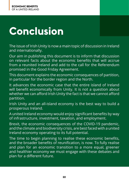# **Conclusion**

The issue of Irish Unity is now a main topic of discussion in Ireland and internationally.

Our aim in publishing this document is to inform that discussion on relevant facts about the economic benefits that will accrue from a reunited Ireland and add to the call for the Referendum promised in the Good Friday Agreement.

This document explains the economic consequences of partition, in particular for the border region and the North.

It advances the economic case that the entire island of Ireland will benefit economically from Unity. It is not a question about whether we can afford Irish Unity the fact is that we cannot afford partition.

Irish Unity and an all-island economy is the best way to build a prosperous Ireland.

A united Ireland economy would enjoy significant benefits by way of infrastructure, investment, taxation, and employment.

Brexit, the economic consequences of the COVID-19 pandemic, and the climate and biodiversity crisis, are best faced with a united Ireland economy operating to its full potential.

The time to begin planning to realise these economic benefits, and the broader benefits of reunification, is now. To fully realise and plan for an economic transition to a more equal, greener and healthier economy we must engage with these debates and plan for a different future.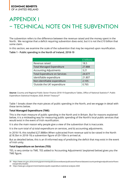## APPENDIX 1 – TECHNICAL NOTE ON THE SUBVENTION

The subvention refers to the difference between the revenue raised and the money spent in the North. We recognise that a deficit requiring subvention does exist, but it is not the £10 billion that some claim.

In this section, we examine the scale of the subvention that may be required upon reunification.

### **Table 1 - Public spending in the North of Ireland, 2018-19**

|                                      | £ billions |
|--------------------------------------|------------|
| Revenue raised                       | 18.5       |
| <b>Total Managed Expenditure</b>     | 27.888     |
| <b>Accounting Adjustments</b>        | 3.21       |
| <b>Total Expenditure on Services</b> | 24.677     |
| Identifiable expenditure             | 21.807     |
| Non-identifiable expenditure         | 2.105      |
| 'Outside the UK' expenditure         | 0.765      |

**Source:** Country and Regional Public Sector Finance 2018-19 Expenditure Tables, Office of National Statistics<sup>39</sup>; Public Expenditure Statistical Analyses 2020, British Treasury<sup>40</sup>

Table 1 breaks down the main pieces of public spending in the North, and we engage in detail with these terms below.

### **Total Managed Expenditure (TME)**

This is the main measure of public spending in the North and in Britain. But for reasons explained below, it is a misleading way for measuring public spending of the North's local public services that would exist in the event of Irish reunification.

It is also the main reason why people give a view of the subvention that is inaccurate.

It is the sum total of a) total expenditure on services, and b) accounting adjustments.

In 2018-19, this totalled £27.888bn.When subtracted from revenue said to be raised in the North (£18.5bn in 2018-19) a subvention figure of £9-10bn is arrived at.

But as detailed below, this is an ill-informed way of predicting the deficit that may exist in the event of Irish unity.

### **Total Expenditure on Services (TES)**

TES, is very similar to TME. TES added to 'Accounting Adjustments' (explained below) gives you the TME figure.

<sup>39</sup> https://www.ons.gov.uk/economy/governmentpublicsectorandtaxes/publicsectorfinance/datasets/countryandregionalpublicsectorfinancesexpendituretables

<sup>40</sup> https://www.gov.uk/government/statistics/public-expenditure-statistical-analyses-2020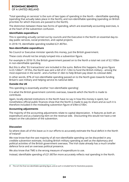### **ECONOMIC BENEFITS**

OF A UNITED IRELAND

'Total spending on services' is the sum of two types of spending in the North – identifiable spending (spending that actually takes place in the North), and non-identifiable spending (spending on British priorities for which thecosts are passed to the North).

The distinction between these two forms of spending, which are essentially accounting exercises, is at the heart of the subvention confusion.

### **Identifiable expenditure**

This is spending actually carried out by councils and the Executive in the North on essential day-today public services, social protection, and capital projects.

In 2018-19, identifiable spending totalled £21.807bn.

### **Non-identifiable expenditure**

No Council or Executive minister spends this money, just the British government.

These costs should not be simply lumped into a subvention figure.

For example in 2018-19, the British government passed on to the North a total net cost of £2.105bn in non-identifiable spending.

But this is after 'EU transactions' are included in the sums. Before this happens, the gross figure is £3.126bn<sup>41</sup>. Of this, the North was sent a bill of £1.12bn to fund the British military - among the most expensive in the world - and a further £1.6bn to help Britain pay down its colossal debt.

In other words, 87% of non-identifiable spending passed on to the North goes towards funding Britain's vast military and helping service its national debt.

### **Outside the UK**

This spending is essentially another 'non-identifiable spending'.

It is what the British government commits overseas, towards which the North is made to contribute.

Again, locally elected institutions in the North have no say in how this money is spent, but nonetheless official public finances show that the North is made to pay its share and as such it is therefore included in the misleading subvention figure of £9bn-£10bn.

### **Accounting adjustments**

The majority of the accounting adjustments relate to capital depreciation. It features as both an expenditure and as a balancing item on the revenue side. Discounting this would not have a net impact on the calculation of the subvention.

### **Discussion**

So where does all of this leave us in our efforts to accurately estimate the fiscal deficit in the North of Ireland?

We now know that the vast majority of all non-identifiable spending can be discarded in any credible subvention estimate, including British military spending as well as the diplomacy and political activities of the British government overseas. The Irish state already has a much smaller defence force and an overseas political presence.

We also know that TME is the wrong measure of expenditure to use.

Instead, identifiable spending of £21.807bn more accurately reflects real spending in the North.

<sup>41</sup> This isn't the final non-identifiable spending figure, and as such is included here for illustrative purposes.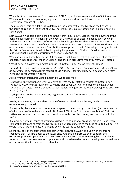When this total is subtracted from revenue of £18.5bn, an indicative subvention of £3.3bn arises. When about £3.2bn of accounting adjustments are included, we are left with a provisional subvention estimate of £6.5bn.

The purpose of this calculation is to determine the 'extra cost' of the North on the finances of the south of Ireland in the event of unity. Therefore, the issues of 'assets and liabilities' must be considered.

Some £3.5bn was paid out in pensions in the North in 2018-19<sup>42</sup>. Liability for the payment of the pensions for Northern Residents in the event of Unity will be subject to a negotiation between both Governments. This was confirmed and acknowledged by British Ministers during the Scottish Referendum when the issue of Pensions arose. Given that access to a British State Pension is based on a person's National Insurance Contributions as opposed to their Citizenship, it is arguable that the British Government is fully liable for paying the pensions of Northern Residents who have made National Insurance Contributions over a 10-year period.

When asked about whether Scottish Citizens would still have a right to a Pension at all in the event of Scottish Independence, the then British Pensions Minister Steve Webb<sup>43</sup> (7 May 2014) stated:

"Yes, they have accumulated rights into the UK system, under the UK system's rules."

He said: "Take a Scottish person who works all their life and then retires to France... they still have an accumulated pension right in respect of the National Insurance they have paid in when they were part of the United Kingdom."

Asked whether citizenship would matter, Mr Webb told MPs:

"Citizenship is irrelevant. It is what you have put into the UK National Insurance system prior to separation. Answer [for example] 35 years, that builds up to a continued UK pension under continuing UK rules. They are entitled to that money. The question is, who is paying for it, and how is that [cost] split?"

So, depending on the outcome of any negotiation this will further reduce the subvention substantially.

Finally, £18.5bn may be an underestimate of revenue raised, given the way in which these estimates are produced.

For example, the 'national gross operating surplus' of the economy in the North (i.e. the sum total of all private profits in the economy) in 2012 was 2.3% of the British economy. But in 2016, just 1.4% of corporation tax revenue from profits across the British economy were attributed to the North.

If a more accurate measure of profits was used, such as 'national gross operating surplus', then corporation tax coming from the North could be underestimated to the tune of up to £500m . This would have a further impact on bringing down the touted subvention figure.

So the real cost of the subvention sits somewhere between £2.5bn and 6bn with the strong likelihood that it will be closer to the lower end. And this is before we even consider the extremely positive impact that economic growth arising from decision making by locally elected representatives, bespoke economic planning and co-ordinated economic development would have on the subvention in the event of Irish unity.

<sup>42</sup> https://assets.publishing.service.gov.uk/government/uploads/system/uploads/attachment\_data/file/901406/CCS207\_CCS0620768248- 001\_PESA\_ARA\_Complete\_E-Laying\_\_002\_.pdf - page 172

<sup>43</sup> https://www.bbc.co.uk/news/uk-scotland-scotland-politics-27309215